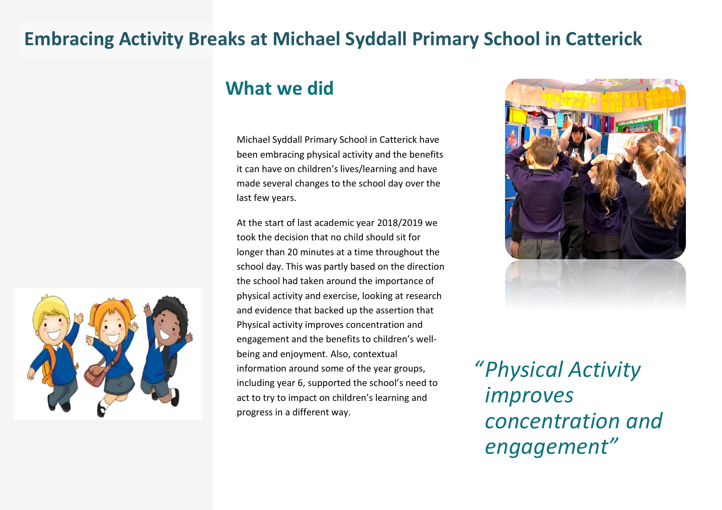## **Embracing Activity Breaks at Michael Syddall Primary School in Catterick**

## **What we did**

Michael Syddall Primary School in Catterick have been embracing physical activity and the benefits it can have on children's lives/learning and have made several changes to the school day over the last few years.

At the start of last academic year 2018/2019 we took the decision that no child should sit for longer than 20 minutes at a time throughout the school day. This was partly based on the direction the school had taken around the importance of physical activity and exercise, looking at research and evidence that backed up the assertion that Physical activity improves concentration and engagement and the benefits to children's wellbeing and enjoyment. Also, contextual information around some of the year groups, including year 6, supported the school's need to act to try to impact on children's learning and progress in a different way.



*"Physical Activity improves concentration and engagement"*